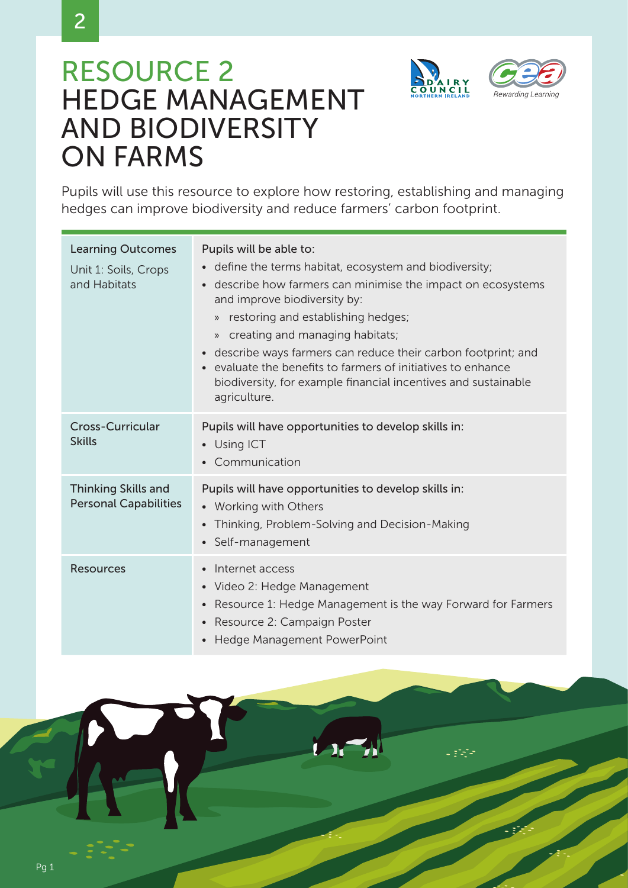

2



Languan<br>Santa Santa



Pupils will use this resource to explore how restoring, establishing and managing hedges can improve biodiversity and reduce farmers' carbon footprint.

| <b>Learning Outcomes</b><br>Unit 1: Soils, Crops<br>and Habitats | Pupils will be able to:<br>define the terms habitat, ecosystem and biodiversity;<br>$\bullet$<br>describe how farmers can minimise the impact on ecosystems<br>and improve biodiversity by:<br>» restoring and establishing hedges;<br>» creating and managing habitats;<br>describe ways farmers can reduce their carbon footprint; and<br>$\bullet$<br>evaluate the benefits to farmers of initiatives to enhance<br>biodiversity, for example financial incentives and sustainable<br>agriculture. |
|------------------------------------------------------------------|-------------------------------------------------------------------------------------------------------------------------------------------------------------------------------------------------------------------------------------------------------------------------------------------------------------------------------------------------------------------------------------------------------------------------------------------------------------------------------------------------------|
| <b>Cross-Curricular</b><br><b>Skills</b>                         | Pupils will have opportunities to develop skills in:<br>• Using ICT<br>Communication                                                                                                                                                                                                                                                                                                                                                                                                                  |
| <b>Thinking Skills and</b><br><b>Personal Capabilities</b>       | Pupils will have opportunities to develop skills in:<br>• Working with Others<br>Thinking, Problem-Solving and Decision-Making<br>$\bullet$<br>• Self-management                                                                                                                                                                                                                                                                                                                                      |
| <b>Resources</b>                                                 | Internet access<br>· Video 2: Hedge Management<br>Resource 1: Hedge Management is the way Forward for Farmers<br>$\bullet$<br>Resource 2: Campaign Poster<br>Hedge Management PowerPoint<br>$\bullet$                                                                                                                                                                                                                                                                                                 |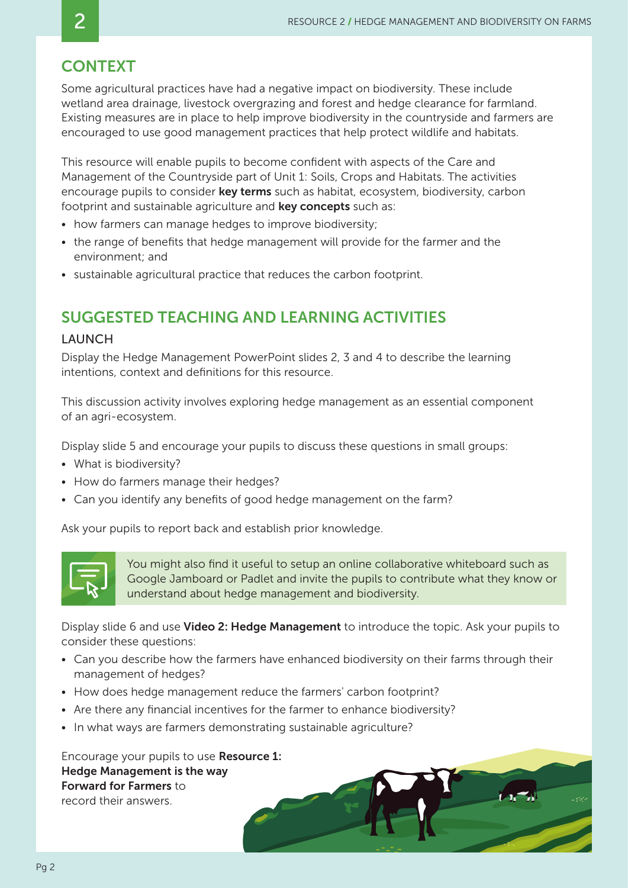## **CONTEXT**

Some agricultural practices have had a negative impact on biodiversity. These include wetland area drainage, livestock overgrazing and forest and hedge clearance for farmland. Existing measures are in place to help improve biodiversity in the countryside and farmers are encouraged to use good management practices that help protect wildlife and habitats.

This resource will enable pupils to become confident with aspects of the Care and Management of the Countryside part of Unit 1: Soils, Crops and Habitats. The activities encourage pupils to consider **key terms** such as habitat, ecosystem, biodiversity, carbon footprint and sustainable agriculture and **key concepts** such as:

- how farmers can manage hedges to improve biodiversity;
- the range of benefits that hedge management will provide for the farmer and the environment; and
- sustainable agricultural practice that reduces the carbon footprint.

# SUGGESTED TEACHING AND LEARNING ACTIVITIES

#### LAUNCH

Display the Hedge Management PowerPoint slides 2, 3 and 4 to describe the learning intentions, context and definitions for this resource.

This discussion activity involves exploring hedge management as an essential component of an agri-ecosystem.

Display slide 5 and encourage your pupils to discuss these questions in small groups:

- What is biodiversity?
- How do farmers manage their hedges?
- Can you identify any benefits of good hedge management on the farm?

Ask your pupils to report back and establish prior knowledge.



You might also find it useful to setup an online collaborative whiteboard such as Google Jamboard or Padlet and invite the pupils to contribute what they know or understand about hedge management and biodiversity.

Display slide 6 and use Video 2: Hedge Management to introduce the topic. Ask your pupils to consider these questions:

- Can you describe how the farmers have enhanced biodiversity on their farms through their management of hedges?
- How does hedge management reduce the farmers' carbon footprint?
- Are there any financial incentives for the farmer to enhance biodiversity?
- In what ways are farmers demonstrating sustainable agriculture?

Encourage your pupils to use Resource 1: Hedge Management is the way Forward for Farmers to record their answers.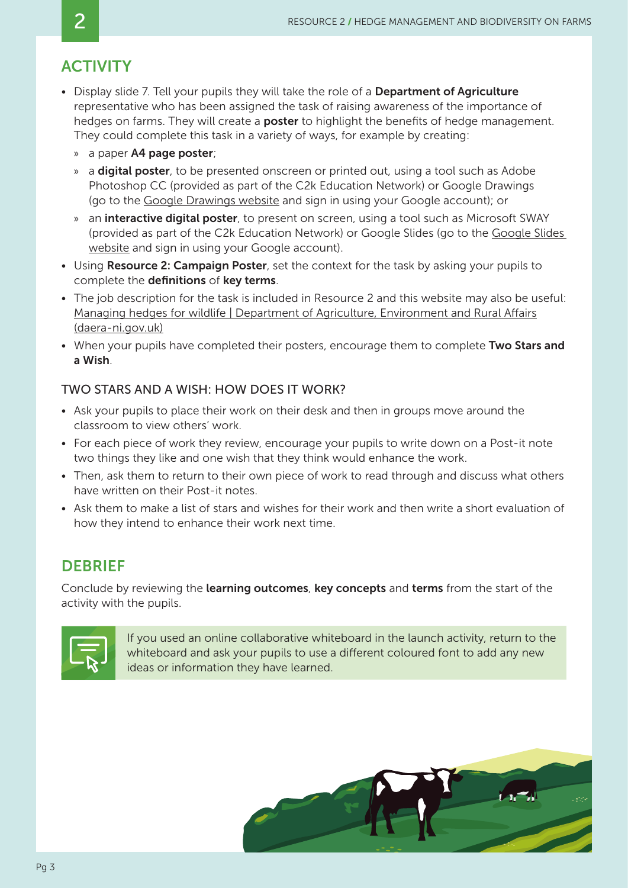# **ACTIVITY**

- Display slide 7. Tell your pupils they will take the role of a Department of Agriculture representative who has been assigned the task of raising awareness of the importance of hedges on farms. They will create a **poster** to highlight the benefits of hedge management. They could complete this task in a variety of ways, for example by creating:
	- » a paper A4 page poster;
	- » a **digital poster**, to be presented onscreen or printed out, using a tool such as Adobe Photoshop CC (provided as part of the C2k Education Network) or Google Drawings (go to the [Google Drawings website](https://accounts.google.com/signin/v2/identifier?service=wise&passive=1209600&continue=https%3A%2F%2Fdocs.google.com%2Fdrawings%2Fcreate&followup=https%3A%2F%2Fdocs.google.com%2Fdrawings%2Fcreate<mpl=drawings&flowName=GlifWebSignIn&flowEntry=ServiceLogin) and sign in using your Google account); or
	- » an **interactive digital poster**, to present on screen, using a tool such as Microsoft SWAY (provided as part of the C2k Education Network) or Google Slides (go to the [Google Slides](https://www.google.co.uk/slides/about/)  [website](https://www.google.co.uk/slides/about/) and sign in using your Google account).
- Using Resource 2: Campaign Poster, set the context for the task by asking your pupils to complete the definitions of key terms.
- The job description for the task is included in Resource 2 and this website may also be useful: [Managing hedges for wildlife | Department of Agriculture, Environment and Rural Affairs](https://www.daera-ni.gov.uk/news/managing-hedges-wildlife) [\(daera-ni.gov.uk\)](https://www.daera-ni.gov.uk/news/managing-hedges-wildlife)
- When your pupils have completed their posters, encourage them to complete Two Stars and a Wish.

### TWO STARS AND A WISH: HOW DOES IT WORK?

- Ask your pupils to place their work on their desk and then in groups move around the classroom to view others' work.
- For each piece of work they review, encourage your pupils to write down on a Post-it note two things they like and one wish that they think would enhance the work.
- Then, ask them to return to their own piece of work to read through and discuss what others have written on their Post-it notes.
- Ask them to make a list of stars and wishes for their work and then write a short evaluation of how they intend to enhance their work next time.

# **DEBRIEF**

Conclude by reviewing the learning outcomes, key concepts and terms from the start of the activity with the pupils.



If you used an online collaborative whiteboard in the launch activity, return to the whiteboard and ask your pupils to use a different coloured font to add any new ideas or information they have learned.

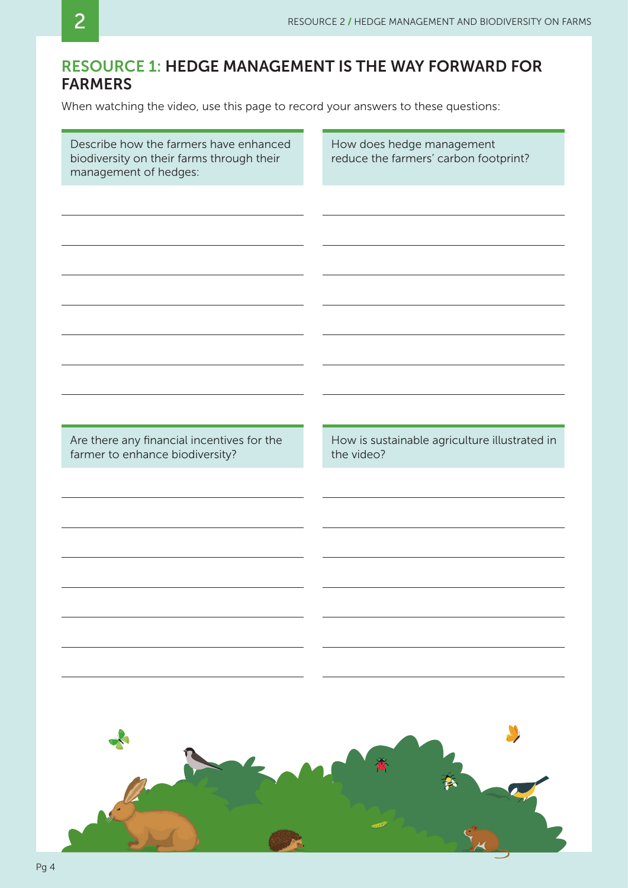## RESOURCE 1: HEDGE MANAGEMENT IS THE WAY FORWARD FOR FARMERS

When watching the video, use this page to record your answers to these questions:

| Describe how the farmers have enhanced<br>biodiversity on their farms through their<br>management of hedges: | How does hedge management<br>reduce the farmers' carbon footprint? |
|--------------------------------------------------------------------------------------------------------------|--------------------------------------------------------------------|
| Are there any financial incentives for the<br>farmer to enhance biodiversity?                                | How is sustainable agriculture illustrated in<br>the video?        |
|                                                                                                              |                                                                    |